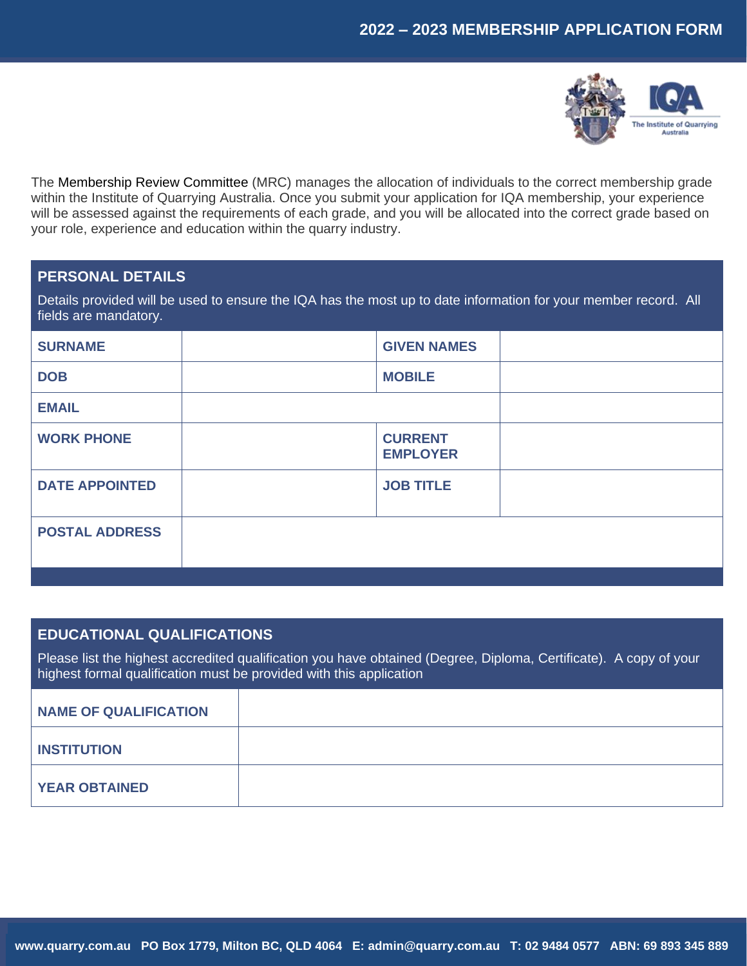

The Membership Review Committee (MRC) manages the allocation of individuals to the correct membership grade within the Institute of Quarrying Australia. Once you submit your application for IQA membership, your experience will be assessed against the requirements of each grade, and you will be allocated into the correct grade based on your role, experience and education within the quarry industry.

# **PERSONAL DETAILS**

Details provided will be used to ensure the IQA has the most up to date information for your member record. All fields are mandatory.

| <b>SURNAME</b>        | <b>GIVEN NAMES</b>                |  |
|-----------------------|-----------------------------------|--|
| <b>DOB</b>            | <b>MOBILE</b>                     |  |
| <b>EMAIL</b>          |                                   |  |
| <b>WORK PHONE</b>     | <b>CURRENT</b><br><b>EMPLOYER</b> |  |
| <b>DATE APPOINTED</b> | <b>JOB TITLE</b>                  |  |
| <b>POSTAL ADDRESS</b> |                                   |  |
|                       |                                   |  |

## **EDUCATIONAL QUALIFICATIONS**

Please list the highest accredited qualification you have obtained (Degree, Diploma, Certificate). A copy of your highest formal qualification must be provided with this application

| NAME OF QUALIFICATION |  |
|-----------------------|--|
| <b>INSTITUTION</b>    |  |
| <b>YEAR OBTAINED</b>  |  |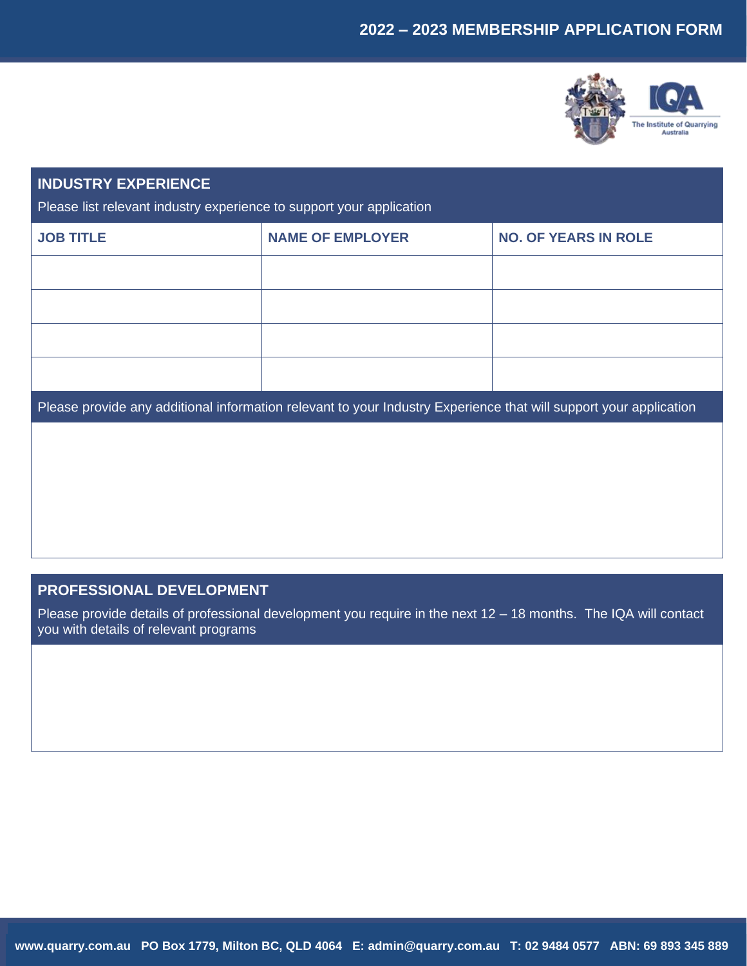

# **INDUSTRY EXPERIENCE**

Please list relevant industry experience to support your application

| <b>JOB TITLE</b> | <b>NAME OF EMPLOYER</b> | <b>NO. OF YEARS IN ROLE</b> |
|------------------|-------------------------|-----------------------------|
|                  |                         |                             |
|                  |                         |                             |
|                  |                         |                             |
|                  |                         |                             |

Please provide any additional information relevant to your Industry Experience that will support your application

# **PROFESSIONAL DEVELOPMENT**

Please provide details of professional development you require in the next 12 – 18 months. The IQA will contact you with details of relevant programs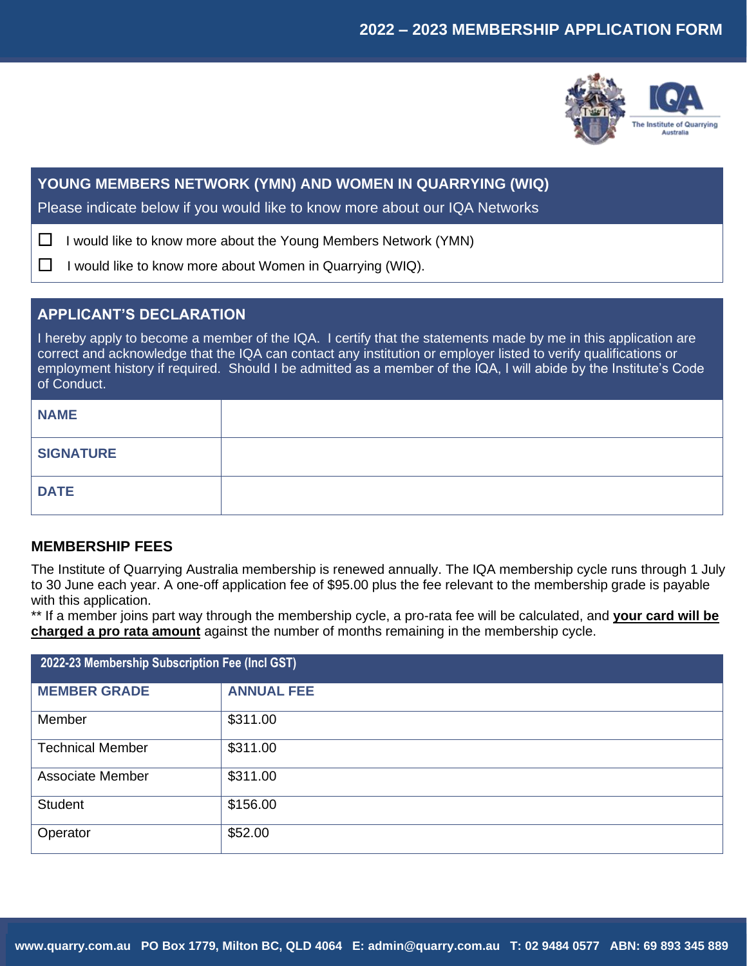

# **YOUNG MEMBERS NETWORK (YMN) AND WOMEN IN QUARRYING (WIQ)**

Please indicate below if you would like to know more about our IQA Networks

I would like to know more about the Young Members Network (YMN)

□ I would like to know more about Women in Quarrying (WIQ).

# **APPLICANT'S DECLARATION**

I hereby apply to become a member of the IQA. I certify that the statements made by me in this application are correct and acknowledge that the IQA can contact any institution or employer listed to verify qualifications or employment history if required. Should I be admitted as a member of the IQA, I will abide by the Institute's Code of Conduct.

| <b>NAME</b>      |  |
|------------------|--|
| <b>SIGNATURE</b> |  |
| <b>DATE</b>      |  |

# **MEMBERSHIP FEES**

The Institute of Quarrying Australia membership is renewed annually. The IQA membership cycle runs through 1 July to 30 June each year. A one-off application fee of \$95.00 plus the fee relevant to the membership grade is payable with this application.

\*\* If a member joins part way through the membership cycle, a pro-rata fee will be calculated, and **your card will be charged a pro rata amount** against the number of months remaining in the membership cycle.

| 2022-23 Membership Subscription Fee (Incl GST) |                   |  |
|------------------------------------------------|-------------------|--|
| <b>MEMBER GRADE</b>                            | <b>ANNUAL FEE</b> |  |
| Member                                         | \$311.00          |  |
| <b>Technical Member</b>                        | \$311.00          |  |
| <b>Associate Member</b>                        | \$311.00          |  |
| <b>Student</b>                                 | \$156.00          |  |
| Operator                                       | \$52.00           |  |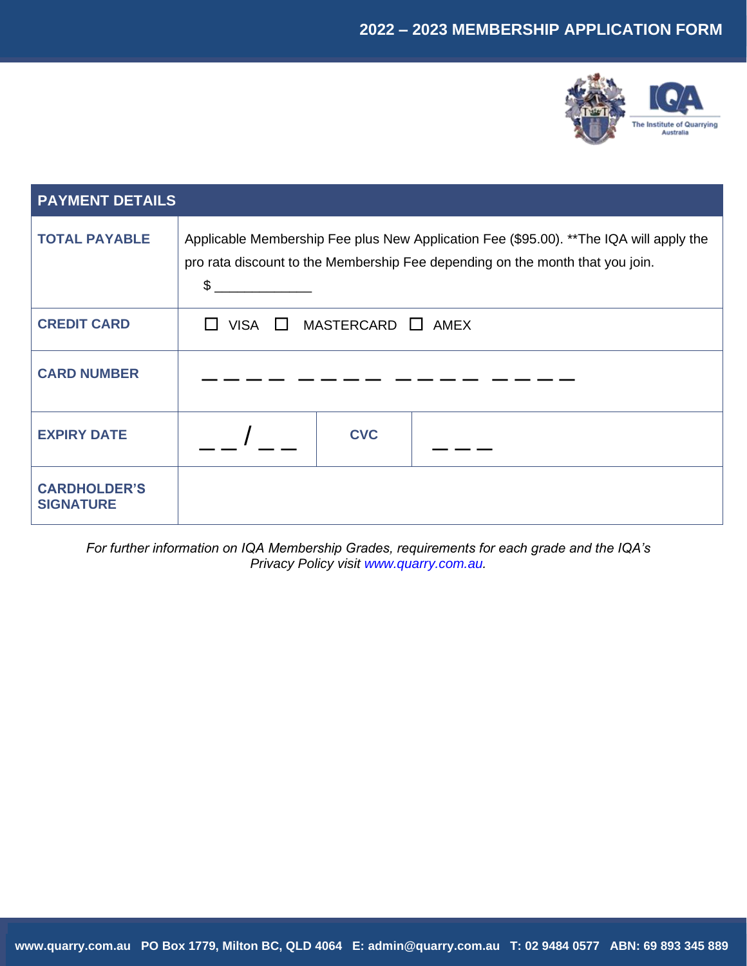# **2022 – 2023 MEMBERSHIP APPLICATION FORM**



| <b>PAYMENT DETAILS</b>                  |                                                                                                                                                                               |
|-----------------------------------------|-------------------------------------------------------------------------------------------------------------------------------------------------------------------------------|
| <b>TOTAL PAYABLE</b>                    | Applicable Membership Fee plus New Application Fee (\$95.00). **The IQA will apply the<br>pro rata discount to the Membership Fee depending on the month that you join.<br>\$ |
| <b>CREDIT CARD</b>                      | $MASTERCARD \square AMEX$<br>VISA $\Box$                                                                                                                                      |
| <b>CARD NUMBER</b>                      |                                                                                                                                                                               |
| <b>EXPIRY DATE</b>                      | <b>CVC</b>                                                                                                                                                                    |
| <b>CARDHOLDER'S</b><br><b>SIGNATURE</b> |                                                                                                                                                                               |

*For further information on IQA Membership Grades, requirements for each grade and the IQA's Privacy Policy visit [www.quarry.com.au.](file:///C:/Users/IQA/AppData/Local/Microsoft/Windows/INetCache/Content.Outlook/1XU312OG/www.quarry.com.au)*